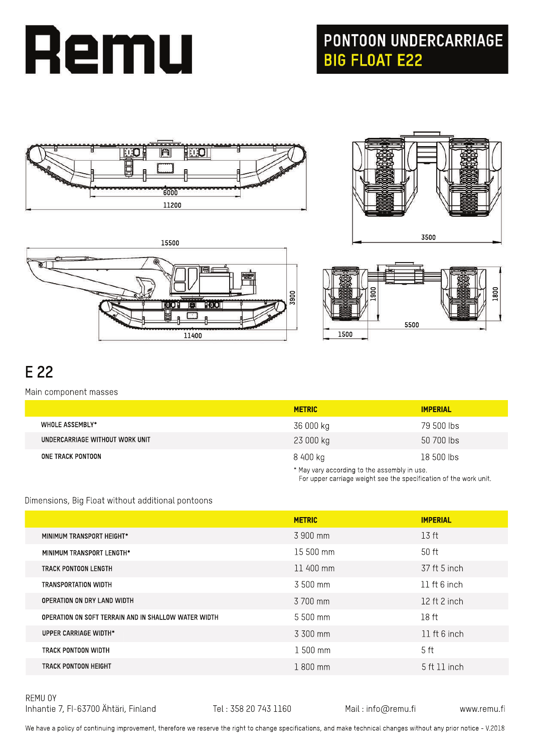

# **PONTOON UNDERCARRIAGE<br>BIG FLOAT E22**



**15500**

m

**11400**

TOOT





For upper carriage weight see the specification of the work unit.

# **E22**

### Main component masses

|                                 | <b>METRIC</b> | <b>IMPERIAL</b>                              |  |
|---------------------------------|---------------|----------------------------------------------|--|
| WHOLE ASSEMBLY*                 | 36 000 kg     | 79 500 lbs                                   |  |
| UNDERCARRIAGE WITHOUT WORK UNIT | 23 000 kg     | 50 700 lbs                                   |  |
| ONE TRACK PONTOON               | 8 400 kg      | 18 500 lbs                                   |  |
|                                 |               | * May vary according to the assembly in use. |  |

### Dimensions, Big Float without additional pontoons

|                                                      | <b>METRIC</b> | <b>IMPERIAL</b>  |
|------------------------------------------------------|---------------|------------------|
| MINIMUM TRANSPORT HEIGHT*                            | 3 900 mm      | 13 ft            |
| MINIMUM TRANSPORT LENGTH*                            | 15 500 mm     | 50 ft            |
| TRACK PONTOON LENGTH                                 | 11 400 mm     | 37 ft 5 inch     |
| TRANSPORTATION WIDTH                                 | 3 500 mm      | $11$ ft 6 inch   |
| OPERATION ON DRY LAND WIDTH                          | 3 700 mm      | 12 ft 2 inch     |
| OPERATION ON SOFT TERRAIN AND IN SHALLOW WATER WIDTH | $5,500$ mm    | 18 <sub>ft</sub> |
| UPPER CARRIAGE WIDTH*                                | 3 300 mm      | $11$ ft 6 inch   |
| TRACK PONTOON WIDTH                                  | $1500$ mm     | 5 <sub>ft</sub>  |
| TRACK PONTOON HEIGHT                                 | 1800 mm       | 5 ft 11 inch     |
|                                                      |               |                  |

REMU OY Inhantie 7, FI-63700 Ähtäri, Finland Tel: 358 20 743 1160 Mail: info@remu.fi www.remu.fi

We have a policy of continuing improvement, therefore we reserve the right to change specifications, and make technical changes without any prior notice - V.2018